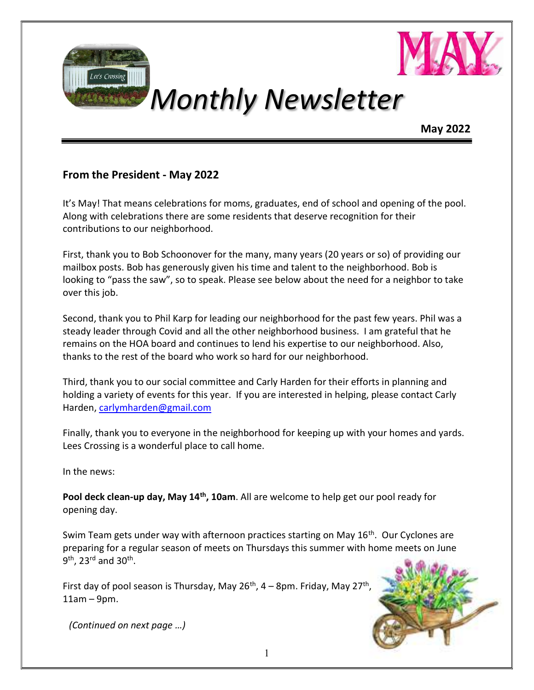



## Monthly Newsletter

May 2022

#### From the President - May 2022

It's May! That means celebrations for moms, graduates, end of school and opening of the pool. Along with celebrations there are some residents that deserve recognition for their contributions to our neighborhood.

First, thank you to Bob Schoonover for the many, many years (20 years or so) of providing our mailbox posts. Bob has generously given his time and talent to the neighborhood. Bob is looking to "pass the saw", so to speak. Please see below about the need for a neighbor to take over this job.

Second, thank you to Phil Karp for leading our neighborhood for the past few years. Phil was a steady leader through Covid and all the other neighborhood business. I am grateful that he remains on the HOA board and continues to lend his expertise to our neighborhood. Also, thanks to the rest of the board who work so hard for our neighborhood.

Third, thank you to our social committee and Carly Harden for their efforts in planning and holding a variety of events for this year. If you are interested in helping, please contact Carly Harden, carlymharden@gmail.com

Finally, thank you to everyone in the neighborhood for keeping up with your homes and yards. Lees Crossing is a wonderful place to call home.

In the news:

Pool deck clean-up day, May 14<sup>th</sup>, 10am. All are welcome to help get our pool ready for opening day.

Swim Team gets under way with afternoon practices starting on May 16<sup>th</sup>. Our Cyclones are preparing for a regular season of meets on Thursdays this summer with home meets on June 9<sup>th</sup>, 23<sup>rd</sup> and 30<sup>th</sup>.

First day of pool season is Thursday, May 26<sup>th</sup>, 4 – 8pm. Friday, May 27<sup>th</sup>, 11am – 9pm.



(Continued on next page …)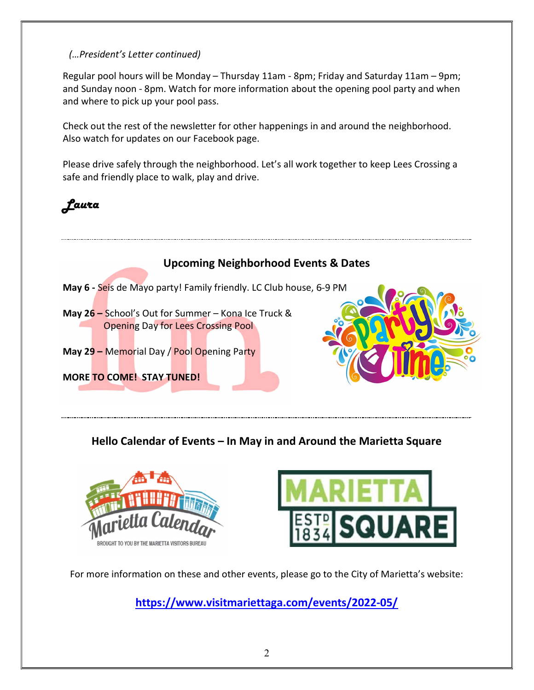#### (…President's Letter continued)

Regular pool hours will be Monday – Thursday 11am - 8pm; Friday and Saturday 11am – 9pm; and Sunday noon - 8pm. Watch for more information about the opening pool party and when and where to pick up your pool pass.

Check out the rest of the newsletter for other happenings in and around the neighborhood. Also watch for updates on our Facebook page.

Please drive safely through the neighborhood. Let's all work together to keep Lees Crossing a safe and friendly place to walk, play and drive.





#### Hello Calendar of Events – In May in and Around the Marietta Square





For more information on these and other events, please go to the City of Marietta's website:

https://www.visitmariettaga.com/events/2022-05/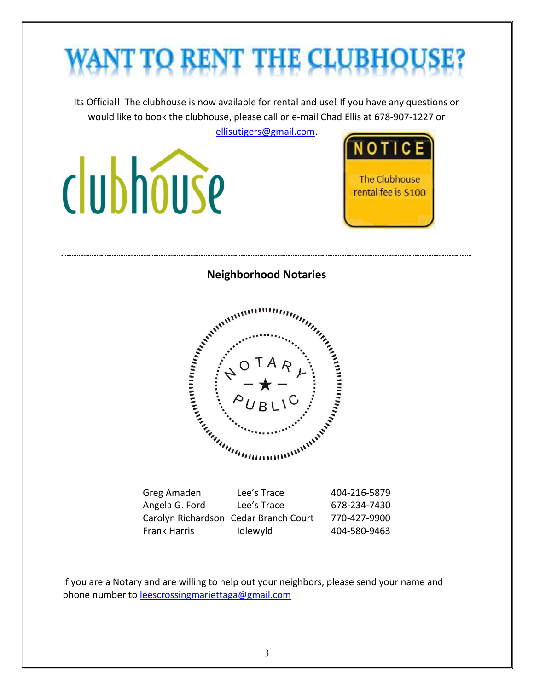# NT TO RENT THE CLUBHO

Its Official! The clubhouse is now available for rental and use! If you have any questions or would like to book the clubhouse, please call or e-mail Chad Ellis at 678-907-1227 or

ellisutigers@gmail.com.

clubhouse



Neighborhood Notaries



| Greg Amaden                           | Lee's Trace | 404-216-5879 |
|---------------------------------------|-------------|--------------|
| Angela G. Ford                        | Lee's Trace | 678-234-7430 |
| Carolyn Richardson Cedar Branch Court |             | 770-427-9900 |
| <b>Frank Harris</b>                   | Idlewyld    | 404-580-9463 |

If you are a Notary and are willing to help out your neighbors, please send your name and phone number to leescrossingmariettaga@gmail.com